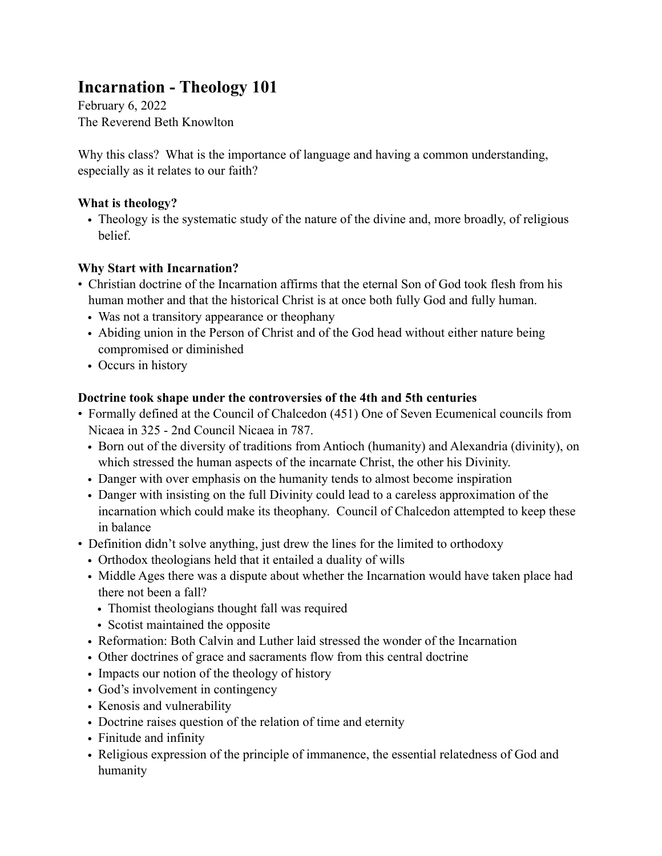## **Incarnation - Theology 101**

February 6, 2022 The Reverend Beth Knowlton

Why this class? What is the importance of language and having a common understanding, especially as it relates to our faith?

### **What is theology?**

• Theology is the systematic study of the nature of the divine and, more broadly, of religious **belief** 

### **Why Start with Incarnation?**

- Christian doctrine of the Incarnation affirms that the eternal Son of God took flesh from his human mother and that the historical Christ is at once both fully God and fully human.
	- Was not a transitory appearance or theophany
	- Abiding union in the Person of Christ and of the God head without either nature being compromised or diminished
	- Occurs in history

### **Doctrine took shape under the controversies of the 4th and 5th centuries**

- Formally defined at the Council of Chalcedon (451) One of Seven Ecumenical councils from Nicaea in 325 - 2nd Council Nicaea in 787.
	- Born out of the diversity of traditions from Antioch (humanity) and Alexandria (divinity), on which stressed the human aspects of the incarnate Christ, the other his Divinity.
	- Danger with over emphasis on the humanity tends to almost become inspiration
	- Danger with insisting on the full Divinity could lead to a careless approximation of the incarnation which could make its theophany. Council of Chalcedon attempted to keep these in balance
- Definition didn't solve anything, just drew the lines for the limited to orthodoxy
	- Orthodox theologians held that it entailed a duality of wills
	- Middle Ages there was a dispute about whether the Incarnation would have taken place had there not been a fall?
		- Thomist theologians thought fall was required
		- Scotist maintained the opposite
	- Reformation: Both Calvin and Luther laid stressed the wonder of the Incarnation
	- Other doctrines of grace and sacraments flow from this central doctrine
	- Impacts our notion of the theology of history
	- God's involvement in contingency
	- Kenosis and vulnerability
	- Doctrine raises question of the relation of time and eternity
	- Finitude and infinity
	- Religious expression of the principle of immanence, the essential relatedness of God and humanity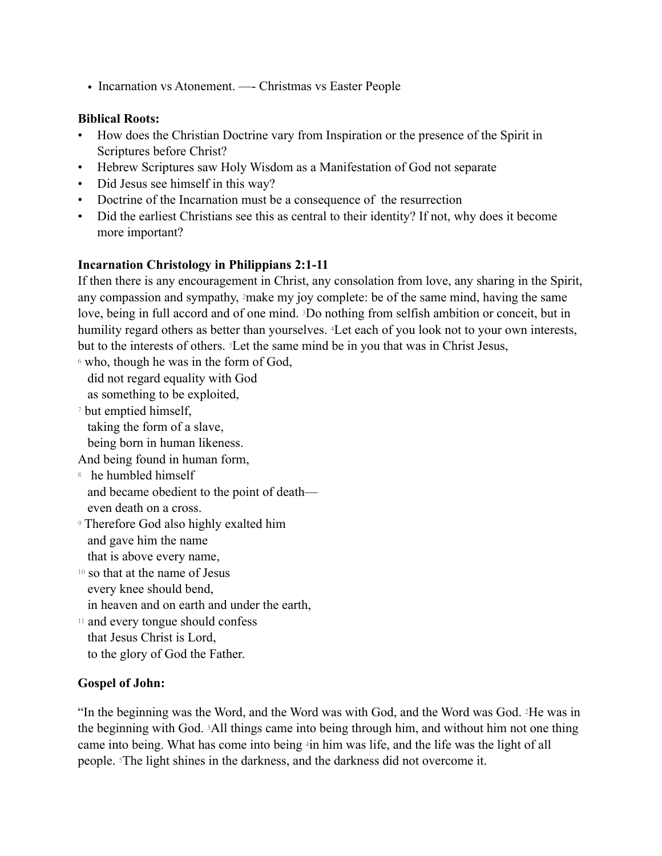• Incarnation vs Atonement. —- Christmas vs Easter People

#### **Biblical Roots:**

- How does the Christian Doctrine vary from Inspiration or the presence of the Spirit in Scriptures before Christ?
- Hebrew Scriptures saw Holy Wisdom as a Manifestation of God not separate
- Did Jesus see himself in this way?
- Doctrine of the Incarnation must be a consequence of the resurrection
- Did the earliest Christians see this as central to their identity? If not, why does it become more important?

#### **Incarnation Christology in Philippians 2:1-11**

If then there is any encouragement in Christ, any consolation from love, any sharing in the Spirit, any compassion and sympathy, 2make my joy complete: be of the same mind, having the same love, being in full accord and of one mind. 3Do nothing from selfish ambition or conceit, but in humility regard others as better than yourselves. 4Let each of you look not to your own interests, but to the interests of others. 5Let the same mind be in you that was in Christ Jesus,

6 who, though he was in the form of God, did not regard equality with God

as something to be exploited,

7 but emptied himself, taking the form of a slave, being born in human likeness.

And being found in human form,

- 8 he humbled himself and became obedient to the point of death even death on a cross.
- 9 Therefore God also highly exalted him and gave him the name that is above every name,
- 10 so that at the name of Jesus every knee should bend,
- in heaven and on earth and under the earth, 11 and every tongue should confess
- that Jesus Christ is Lord, to the glory of God the Father.

#### **Gospel of John:**

"In the beginning was the Word, and the Word was with God, and the Word was God. 2He was in the beginning with God. 3All things came into being through him, and without him not one thing came into being. What has come into being 4in him was life, and the life was the light of all people. 5The light shines in the darkness, and the darkness did not overcome it.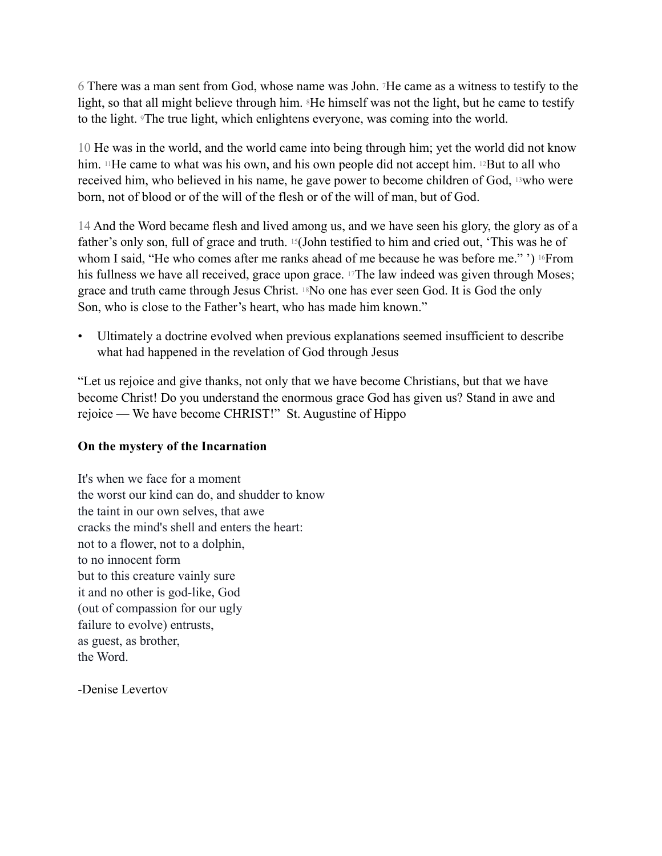6 There was a man sent from God, whose name was John. 7He came as a witness to testify to the light, so that all might believe through him. <sup>8</sup>He himself was not the light, but he came to testify to the light. 9The true light, which enlightens everyone, was coming into the world.

10 He was in the world, and the world came into being through him; yet the world did not know him. <sup>11</sup>He came to what was his own, and his own people did not accept him. <sup>12</sup>But to all who received him, who believed in his name, he gave power to become children of God, 13who were born, not of blood or of the will of the flesh or of the will of man, but of God.

14 And the Word became flesh and lived among us, and we have seen his glory, the glory as of a father's only son, full of grace and truth. 15(John testified to him and cried out, 'This was he of whom I said, "He who comes after me ranks ahead of me because he was before me." ') <sup>16</sup>From his fullness we have all received, grace upon grace. <sup>17</sup>The law indeed was given through Moses; grace and truth came through Jesus Christ. 18No one has ever seen God. It is God the only Son, who is close to the Father's heart, who has made him known."

• Ultimately a doctrine evolved when previous explanations seemed insufficient to describe what had happened in the revelation of God through Jesus

"Let us rejoice and give thanks, not only that we have become Christians, but that we have become Christ! Do you understand the enormous grace God has given us? Stand in awe and rejoice — We have become CHRIST!" St. Augustine of Hippo

#### **On the mystery of the Incarnation**

It's when we face for a moment the worst our kind can do, and shudder to know the taint in our own selves, that awe cracks the mind's shell and enters the heart: not to a flower, not to a dolphin, to no innocent form but to this creature vainly sure it and no other is god-like, God (out of compassion for our ugly failure to evolve) entrusts, as guest, as brother, the Word.

-Denise Levertov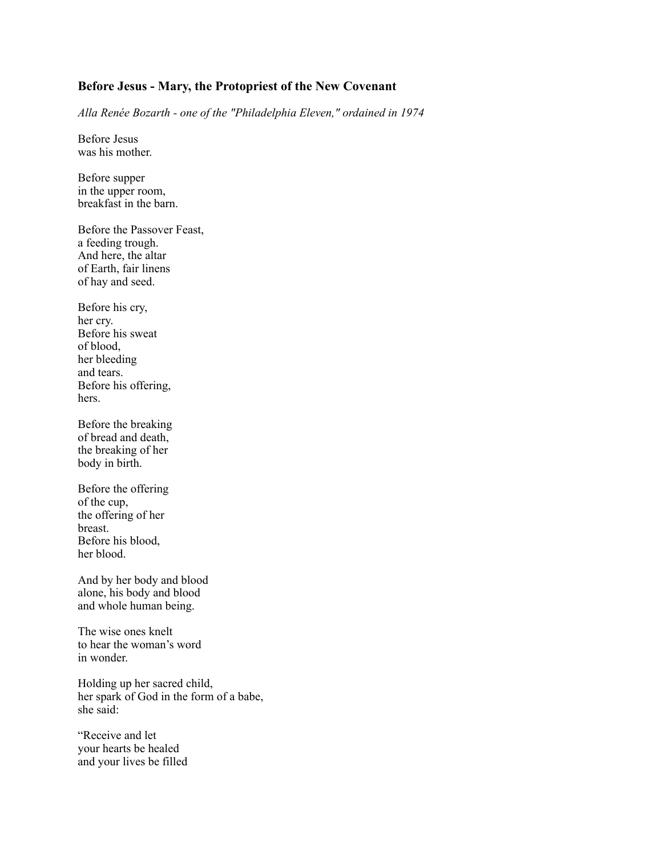#### **Before Jesus - Mary, the Protopriest of the New Covenant**

*Alla Renée Bozarth - one of the "Philadelphia Eleven," ordained in 1974*

Before Jesus was his mother.

Before supper in the upper room, breakfast in the barn.

Before the Passover Feast, a feeding trough. And here, the altar of Earth, fair linens of hay and seed.

Before his cry, her cry. Before his sweat of blood, her bleeding and tears. Before his offering, hers.

Before the breaking of bread and death, the breaking of her body in birth.

Before the offering of the cup, the offering of her breast. Before his blood, her blood.

And by her body and blood alone, his body and blood and whole human being.

The wise ones knelt to hear the woman's word in wonder.

Holding up her sacred child, her spark of God in the form of a babe, she said:

"Receive and let your hearts be healed and your lives be filled